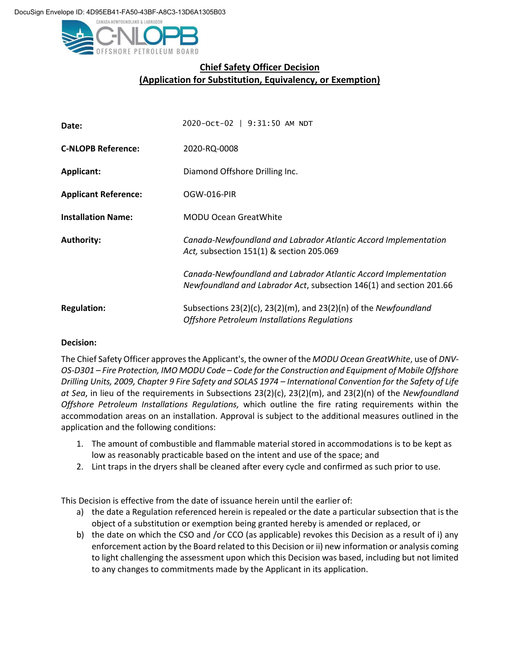

## **Chief Safety Officer Decision (Application for Substitution, Equivalency, or Exemption)**

| Date:                       | 2020-Oct-02   9:31:50 AM NDT                                                                                                           |
|-----------------------------|----------------------------------------------------------------------------------------------------------------------------------------|
| <b>C-NLOPB Reference:</b>   | 2020-RQ-0008                                                                                                                           |
| <b>Applicant:</b>           | Diamond Offshore Drilling Inc.                                                                                                         |
| <b>Applicant Reference:</b> | OGW-016-PIR                                                                                                                            |
| <b>Installation Name:</b>   | <b>MODU Ocean GreatWhite</b>                                                                                                           |
| <b>Authority:</b>           | Canada-Newfoundland and Labrador Atlantic Accord Implementation<br>Act, subsection 151(1) & section 205.069                            |
|                             | Canada-Newfoundland and Labrador Atlantic Accord Implementation<br>Newfoundland and Labrador Act, subsection 146(1) and section 201.66 |
| <b>Regulation:</b>          | Subsections $23(2)(c)$ , $23(2)(m)$ , and $23(2)(n)$ of the Newfoundland<br>Offshore Petroleum Installations Regulations               |

## **Decision:**

The Chief Safety Officer approves the Applicant's, the owner of the *MODU Ocean GreatWhite*, use of *DNV*-*OS-D301 – Fire Protection, IMO MODU Code – Code for the Construction and Equipment of Mobile Offshore Drilling Units, 2009, Chapter 9 Fire Safety and SOLAS 1974 – International Convention for the Safety of Life at Sea*, in lieu of the requirements in Subsections 23(2)(c), 23(2)(m), and 23(2)(n) of the *Newfoundland Offshore Petroleum Installations Regulations,* which outline the fire rating requirements within the accommodation areas on an installation. Approval is subject to the additional measures outlined in the application and the following conditions:

- 1. The amount of combustible and flammable material stored in accommodations is to be kept as low as reasonably practicable based on the intent and use of the space; and
- 2. Lint traps in the dryers shall be cleaned after every cycle and confirmed as such prior to use.

This Decision is effective from the date of issuance herein until the earlier of:

- a) the date a Regulation referenced herein is repealed or the date a particular subsection that is the object of a substitution or exemption being granted hereby is amended or replaced, or
- b) the date on which the CSO and /or CCO (as applicable) revokes this Decision as a result of i) any enforcement action by the Board related to this Decision or ii) new information or analysis coming to light challenging the assessment upon which this Decision was based, including but not limited to any changes to commitments made by the Applicant in its application.